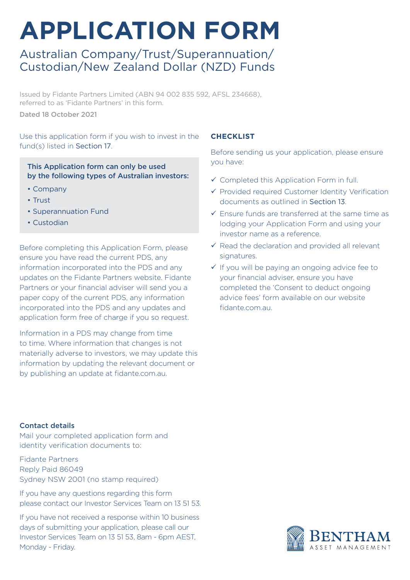# **APPLICATION FORM**

### Australian Company/Trust/Superannuation/ Custodian/New Zealand Dollar (NZD) Funds

Issued by Fidante Partners Limited (ABN 94 002 835 592, AFSL 234668), referred to as 'Fidante Partners' in this form.

Dated 18 October 2021

Use this application form if you wish to invest in the fund(s) listed in Section 17.

This Application form can only be used by the following types of Australian investors:

- Company
- Trust
- Superannuation Fund
- Custodian

Before completing this Application Form, please ensure you have read the current PDS, any information incorporated into the PDS and any updates on the Fidante Partners website. Fidante Partners or your financial adviser will send you a paper copy of the current PDS, any information incorporated into the PDS and any updates and application form free of charge if you so request.

Information in a PDS may change from time to time. Where information that changes is not materially adverse to investors, we may update this information by updating the relevant document or by publishing an update at fidante.com.au.

#### Contact details

Mail your completed application form and identity verification documents to:

Fidante Partners Reply Paid 86049 Sydney NSW 2001 (no stamp required)

If you have any questions regarding this form please contact our Investor Services Team on 13 51 53.

If you have not received a response within 10 business days of submitting your application, please call our Investor Services Team on 13 51 53, 8am - 6pm AEST, Monday - Friday.

#### **CHECKLIST**

Before sending us your application, please ensure you have:

- $\checkmark$  Completed this Application Form in full.
- $\checkmark$  Provided required Customer Identity Verification documents as outlined in Section 13.
- $\checkmark$  Ensure funds are transferred at the same time as lodging your Application Form and using your investor name as a reference.
- $\checkmark$  Read the declaration and provided all relevant signatures.
- $\checkmark$  If you will be paying an ongoing advice fee to your financial adviser, ensure you have completed the 'Consent to deduct ongoing advice fees' form available on our website fidante.com.au.

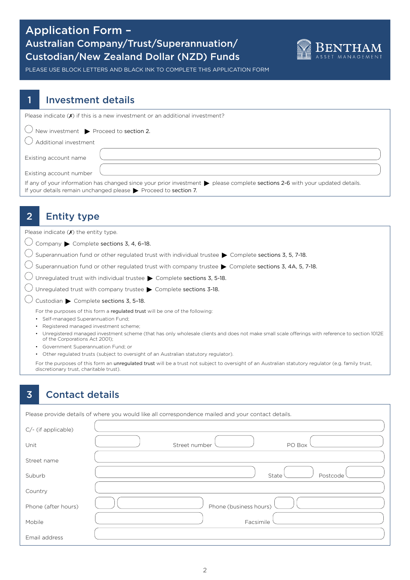### Application Form – Australian Company/Trust/Superannuation/ Custodian/New Zealand Dollar (NZD) Funds



PLEASE USE BLOCK LETTERS AND BLACK INK TO COMPLETE THIS APPLICATION FORM

### Investment details

| Please indicate $(\chi)$ if this is a new investment or an additional investment?                                                                                                                              |
|----------------------------------------------------------------------------------------------------------------------------------------------------------------------------------------------------------------|
| $\bigcup$ New investment $\blacktriangleright$ Proceed to section 2.                                                                                                                                           |
| Additional investment                                                                                                                                                                                          |
| Existing account name                                                                                                                                                                                          |
| Existing account number                                                                                                                                                                                        |
| If any of your information has changed since your prior investment > please complete sections 2-6 with your updated details.<br>If your details remain unchanged please $\triangleright$ Proceed to section 7. |

# 2 **Entity type**

Please indicate  $(X)$  the entity type.

 $\bigcirc$  Company  $\blacktriangleright$  Complete sections 3, 4, 6-18.

 $\bigcirc$  Superannuation fund or other regulated trust with individual trustee  $\blacktriangleright$  Complete sections 3, 5, 7-18.

 $\bigcirc$  Superannuation fund or other regulated trust with company trustee  $\blacktriangleright$  Complete sections 3, 4A, 5, 7-18.

 $\bigcirc$  Unregulated trust with individual trustee  $\blacktriangleright$  Complete sections 3, 5-18.

 $\bigcirc$  Unregulated trust with company trustee  $\blacktriangleright$  Complete sections 3-18.

 $\bigcirc$  Custodian  $\blacktriangleright$  Complete sections 3, 5-18.

For the purposes of this form a regulated trust will be one of the following:

- Self-managed Superannuation Fund;
- Registered managed investment scheme;
- Unregistered managed investment scheme (that has only wholesale clients and does not make small scale offerings with reference to section 1012E of the Corporations Act 2001);

• Government Superannuation Fund; or

• Other regulated trusts (subject to oversight of an Australian statutory regulator).

For the purposes of this form an unregulated trust will be a trust not subject to oversight of an Australian statutory regulator (e.g. family trust, discretionary trust, charitable trust).

### 3 Contact details

|                        | Please provide details of where you would like all correspondence mailed and your contact details. |
|------------------------|----------------------------------------------------------------------------------------------------|
| $C$ /- (if applicable) |                                                                                                    |
| Unit                   | Street number<br>PO Box                                                                            |
| Street name            |                                                                                                    |
| Suburb                 | Postcode<br>State                                                                                  |
| Country                |                                                                                                    |
| Phone (after hours)    | Phone (business hours)                                                                             |
| Mobile                 | Facsimile                                                                                          |
| Email address          |                                                                                                    |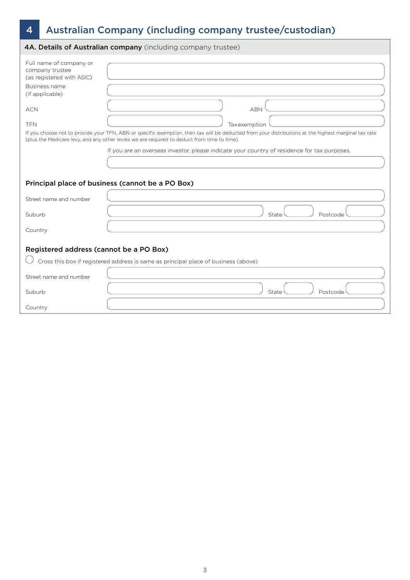# 4 Australian Company (including company trustee/custodian)

|                                                                                                                                         | 4A. Details of Australian company (including company trustee)                                                                                                                                                                                                                             |
|-----------------------------------------------------------------------------------------------------------------------------------------|-------------------------------------------------------------------------------------------------------------------------------------------------------------------------------------------------------------------------------------------------------------------------------------------|
| Full name of company or<br>company trustee<br>(as registered with ASIC)<br>Business name<br>(if applicable)<br><b>ACN</b><br><b>TFN</b> | <b>ABN</b><br><b>Tax</b> exemption<br>If you choose not to provide your TFN, ABN or specific exemption, then tax will be deducted from your distributions at the highest marginal tax rate<br>(plus the Medicare levy, and any other levies we are required to deduct from time to time). |
|                                                                                                                                         | If you are an overseas investor, please indicate your country of residence for tax purposes.                                                                                                                                                                                              |
|                                                                                                                                         |                                                                                                                                                                                                                                                                                           |
|                                                                                                                                         | Principal place of business (cannot be a PO Box)                                                                                                                                                                                                                                          |
| Street name and number                                                                                                                  |                                                                                                                                                                                                                                                                                           |
| Suburb                                                                                                                                  | Postcode<br>State                                                                                                                                                                                                                                                                         |
| Country                                                                                                                                 |                                                                                                                                                                                                                                                                                           |
| Registered address (cannot be a PO Box)                                                                                                 |                                                                                                                                                                                                                                                                                           |
|                                                                                                                                         | Cross this box if registered address is same as principal place of business (above)                                                                                                                                                                                                       |
| Street name and number                                                                                                                  |                                                                                                                                                                                                                                                                                           |
| Suburb                                                                                                                                  | State<br>Postcode                                                                                                                                                                                                                                                                         |
| Country                                                                                                                                 |                                                                                                                                                                                                                                                                                           |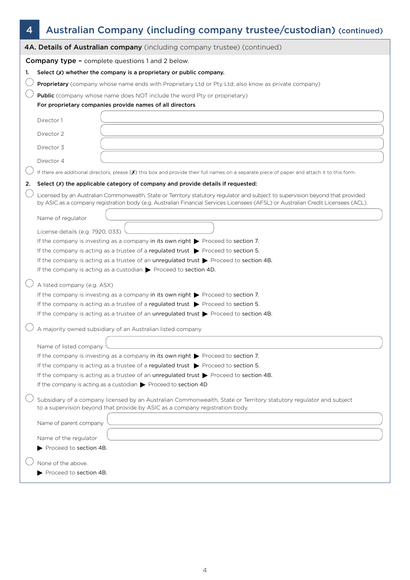# 4 Australian Company (including company trustee/custodian) (continued)

|    | 4A. Details of Australian company (including company trustee) (continued)                                                                                                                                                                                           |
|----|---------------------------------------------------------------------------------------------------------------------------------------------------------------------------------------------------------------------------------------------------------------------|
|    | <b>Company type - complete questions 1 and 2 below.</b>                                                                                                                                                                                                             |
| 1. | Select $(X)$ whether the company is a proprietary or public company.                                                                                                                                                                                                |
|    | Proprietary (company whose name ends with Proprietary Ltd or Pty Ltd; also know as private company)                                                                                                                                                                 |
|    | <b>Public</b> (company whose name does NOT include the word Pty or proprietary)                                                                                                                                                                                     |
|    | For proprietary companies provide names of all directors                                                                                                                                                                                                            |
|    | Director 1                                                                                                                                                                                                                                                          |
|    | Director 2                                                                                                                                                                                                                                                          |
|    | Director 3                                                                                                                                                                                                                                                          |
|    | Director 4                                                                                                                                                                                                                                                          |
|    | If there are additional directors, please $(X)$ this box and provide their full names on a separate piece of paper and attach it to this form.                                                                                                                      |
| 2. | Select (X) the applicable category of company and provide details if requested:                                                                                                                                                                                     |
|    | Licensed by an Australian Commonwealth, State or Territory statutory regulator and subject to supervision beyond that provided<br>by ASIC as a company registration body (e.g. Australian Financial Services Licensees (AFSL) or Australian Credit Licensees (ACL). |
|    | Name of regulator                                                                                                                                                                                                                                                   |
|    | License details (e.g. 7920, 033)                                                                                                                                                                                                                                    |
|    | If the company is investing as a company in its own right $\triangleright$ Proceed to section 7.                                                                                                                                                                    |
|    | If the company is acting as a trustee of a regulated trust > Proceed to section 5.                                                                                                                                                                                  |
|    | If the company is acting as a trustee of an unregulated trust $\triangleright$ Proceed to section 4B.                                                                                                                                                               |
|    | If the company is acting as a custodian $\triangleright$ Proceed to section 4D.                                                                                                                                                                                     |
|    | A listed company (e.g. ASX)                                                                                                                                                                                                                                         |
|    | If the company is investing as a company in its own right $\blacktriangleright$ Proceed to section 7.                                                                                                                                                               |
|    | If the company is acting as a trustee of a regulated trust $\triangleright$ Proceed to section 5.                                                                                                                                                                   |
|    | If the company is acting as a trustee of an unregulated trust $\triangleright$ Proceed to section 4B.                                                                                                                                                               |
|    | A majority owned subsidiary of an Australian listed company                                                                                                                                                                                                         |
|    | Name of listed company                                                                                                                                                                                                                                              |
|    | If the company is investing as a company in its own right $\blacktriangleright$ Proceed to section 7.                                                                                                                                                               |
|    | If the company is acting as a trustee of a regulated trust $\triangleright$ Proceed to section 5.                                                                                                                                                                   |
|    | If the company is acting as a trustee of an unregulated trust $\triangleright$ Proceed to section 4B.                                                                                                                                                               |
|    | If the company is acting as a custodian $\triangleright$ Proceed to section 4D                                                                                                                                                                                      |
|    | Subsidiary of a company licensed by an Australian Commonwealth, State or Territory statutory regulator and subject<br>to a supervision beyond that provide by ASIC as a company registration body.                                                                  |
|    | Name of parent company                                                                                                                                                                                                                                              |
|    | Name of the regulator                                                                                                                                                                                                                                               |
|    | Proceed to section 4B.                                                                                                                                                                                                                                              |
|    | None of the above.                                                                                                                                                                                                                                                  |
|    | Proceed to section 4B.                                                                                                                                                                                                                                              |
|    |                                                                                                                                                                                                                                                                     |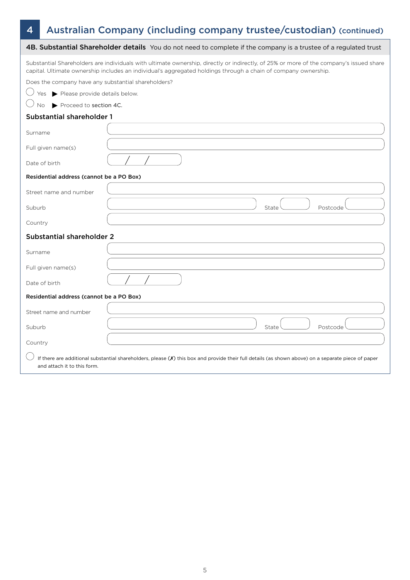## 4 Australian Company (including company trustee/custodian) (continued)

|                                                     | 4B. Substantial Shareholder details You do not need to complete if the company is a trustee of a regulated trust                                                                                                                                         |
|-----------------------------------------------------|----------------------------------------------------------------------------------------------------------------------------------------------------------------------------------------------------------------------------------------------------------|
|                                                     | Substantial Shareholders are individuals with ultimate ownership, directly or indirectly, of 25% or more of the company's issued share<br>capital. Ultimate ownership includes an individual's aggregated holdings through a chain of company ownership. |
| Does the company have any substantial shareholders? |                                                                                                                                                                                                                                                          |
| Yes Please provide details below.                   |                                                                                                                                                                                                                                                          |
| Proceed to section 4C.<br>No.                       |                                                                                                                                                                                                                                                          |
| <b>Substantial shareholder 1</b>                    |                                                                                                                                                                                                                                                          |
| Surname                                             |                                                                                                                                                                                                                                                          |
| Full given name(s)                                  |                                                                                                                                                                                                                                                          |
| Date of birth                                       |                                                                                                                                                                                                                                                          |
| Residential address (cannot be a PO Box)            |                                                                                                                                                                                                                                                          |
| Street name and number                              |                                                                                                                                                                                                                                                          |
| Suburb                                              | State<br>Postcode                                                                                                                                                                                                                                        |
| Country                                             |                                                                                                                                                                                                                                                          |
| <b>Substantial shareholder 2</b>                    |                                                                                                                                                                                                                                                          |
| Surname                                             |                                                                                                                                                                                                                                                          |
| Full given name(s)                                  |                                                                                                                                                                                                                                                          |
| Date of birth                                       |                                                                                                                                                                                                                                                          |
| Residential address (cannot be a PO Box)            |                                                                                                                                                                                                                                                          |
| Street name and number                              |                                                                                                                                                                                                                                                          |
| Suburb                                              | State<br>Postcode                                                                                                                                                                                                                                        |
| Country                                             |                                                                                                                                                                                                                                                          |
| and attach it to this form.                         | If there are additional substantial shareholders, please $(X)$ this box and provide their full details (as shown above) on a separate piece of paper                                                                                                     |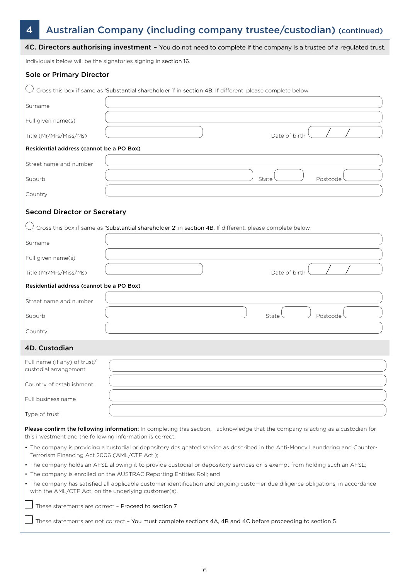## 4 Australian Company (including company trustee/custodian) (continued)

|                                                           | 4C. Directors authorising investment - You do not need to complete if the company is a trustee of a regulated trust.              |
|-----------------------------------------------------------|-----------------------------------------------------------------------------------------------------------------------------------|
|                                                           | Individuals below will be the signatories signing in section 16.                                                                  |
| <b>Sole or Primary Director</b>                           |                                                                                                                                   |
|                                                           | Cross this box if same as 'Substantial shareholder 1' in section 4B. If different, please complete below.                         |
| Surname                                                   |                                                                                                                                   |
| Full given name(s)                                        |                                                                                                                                   |
| Title (Mr/Mrs/Miss/Ms)                                    | Date of birth                                                                                                                     |
| Residential address (cannot be a PO Box)                  |                                                                                                                                   |
| Street name and number                                    |                                                                                                                                   |
| Suburb                                                    | State<br>Postcode                                                                                                                 |
| Country                                                   |                                                                                                                                   |
|                                                           |                                                                                                                                   |
| <b>Second Director or Secretary</b>                       |                                                                                                                                   |
|                                                           | Cross this box if same as 'Substantial shareholder 2' in section 4B. If different, please complete below.                         |
| Surname                                                   |                                                                                                                                   |
| Full given name(s)                                        |                                                                                                                                   |
| Title (Mr/Mrs/Miss/Ms)                                    | Date of birth                                                                                                                     |
| Residential address (cannot be a PO Box)                  |                                                                                                                                   |
| Street name and number                                    |                                                                                                                                   |
| Suburb                                                    | State<br>Postcode                                                                                                                 |
| Country                                                   |                                                                                                                                   |
| 4D. Custodian                                             |                                                                                                                                   |
| Full name (if any) of trust/                              |                                                                                                                                   |
| custodial arrangement                                     |                                                                                                                                   |
| Country of establishment                                  |                                                                                                                                   |
| Full business name                                        |                                                                                                                                   |
| Type of trust                                             |                                                                                                                                   |
| this investment and the following information is correct; | Please confirm the following information: In completing this section, I acknowledge that the company is acting as a custodian for |
| Terrorism Financing Act 2006 ('AML/CTF Act');             | • The company is providing a custodial or depository designated service as described in the Anti-Money Laundering and Counter-    |
|                                                           | • The company holds an AFSL allowing it to provide custodial or depository services or is exempt from holding such an AFSL;       |
|                                                           | • The company is enrolled on the AUSTRAC Reporting Entities Roll; and                                                             |
| with the AML/CTF Act, on the underlying customer(s).      | • The company has satisfied all applicable customer identification and ongoing customer due diligence obligations, in accordance  |
|                                                           | These statements are correct - Proceed to section 7                                                                               |
|                                                           | These statements are not correct - You must complete sections 4A, 4B and 4C before proceeding to section 5.                       |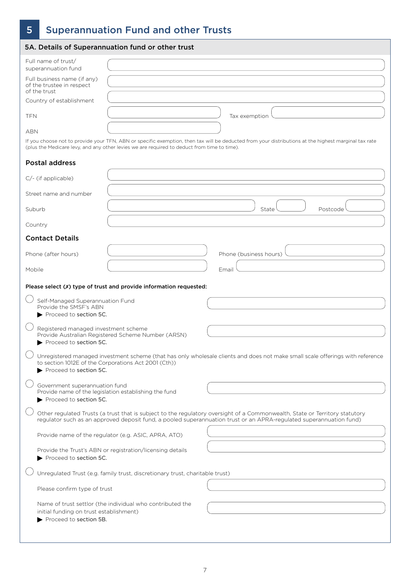# 5 Superannuation Fund and other Trusts

|                                                                          | 5A. Details of Superannuation fund or other trust                                           |                                                                                                                                                                                                                                                    |
|--------------------------------------------------------------------------|---------------------------------------------------------------------------------------------|----------------------------------------------------------------------------------------------------------------------------------------------------------------------------------------------------------------------------------------------------|
| Full name of trust/<br>superannuation fund                               |                                                                                             |                                                                                                                                                                                                                                                    |
| Full business name (if any)<br>of the trustee in respect<br>of the trust |                                                                                             |                                                                                                                                                                                                                                                    |
| Country of establishment                                                 |                                                                                             |                                                                                                                                                                                                                                                    |
| <b>TFN</b>                                                               |                                                                                             | Tax exemption                                                                                                                                                                                                                                      |
| ABN                                                                      |                                                                                             |                                                                                                                                                                                                                                                    |
|                                                                          | (plus the Medicare levy, and any other levies we are required to deduct from time to time). | If you choose not to provide your TFN, ABN or specific exemption, then tax will be deducted from your distributions at the highest marginal tax rate                                                                                               |
| <b>Postal address</b>                                                    |                                                                                             |                                                                                                                                                                                                                                                    |
| C/- (if applicable)                                                      |                                                                                             |                                                                                                                                                                                                                                                    |
| Street name and number                                                   |                                                                                             |                                                                                                                                                                                                                                                    |
| Suburb                                                                   |                                                                                             | State<br>Postcode                                                                                                                                                                                                                                  |
| Country                                                                  |                                                                                             |                                                                                                                                                                                                                                                    |
| <b>Contact Details</b>                                                   |                                                                                             |                                                                                                                                                                                                                                                    |
| Phone (after hours)                                                      |                                                                                             | Phone (business hours)                                                                                                                                                                                                                             |
| Mobile                                                                   |                                                                                             | Email                                                                                                                                                                                                                                              |
|                                                                          | Please select (X) type of trust and provide information requested:                          |                                                                                                                                                                                                                                                    |
| Self-Managed Superannuation Fund                                         |                                                                                             |                                                                                                                                                                                                                                                    |
| Provide the SMSF's ABN<br>Proceed to section 5C.                         |                                                                                             |                                                                                                                                                                                                                                                    |
| Registered managed investment scheme<br>Proceed to section 5C.           | Provide Australian Registered Scheme Number (ARSN)                                          |                                                                                                                                                                                                                                                    |
| Proceed to section 5C.                                                   | to section 1012E of the Corporations Act 2001 (Cth))                                        | Unregistered managed investment scheme (that has only wholesale clients and does not make small scale offerings with reference                                                                                                                     |
| Government superannuation fund<br>Proceed to section 5C.                 | Provide name of the legislation establishing the fund                                       |                                                                                                                                                                                                                                                    |
|                                                                          |                                                                                             | Other regulated Trusts (a trust that is subject to the regulatory oversight of a Commonwealth, State or Territory statutory<br>regulator such as an approved deposit fund, a pooled superannuation trust or an APRA-regulated superannuation fund) |
|                                                                          | Provide name of the regulator (e.g. ASIC, APRA, ATO)                                        |                                                                                                                                                                                                                                                    |
| Proceed to section 5C.                                                   | Provide the Trust's ABN or registration/licensing details                                   |                                                                                                                                                                                                                                                    |
|                                                                          | Unregulated Trust (e.g. family trust, discretionary trust, charitable trust)                |                                                                                                                                                                                                                                                    |
| Please confirm type of trust                                             |                                                                                             |                                                                                                                                                                                                                                                    |
|                                                                          | Name of trust settlor (the individual who contributed the                                   |                                                                                                                                                                                                                                                    |
| initial funding on trust establishment)<br>Proceed to section 5B.        |                                                                                             |                                                                                                                                                                                                                                                    |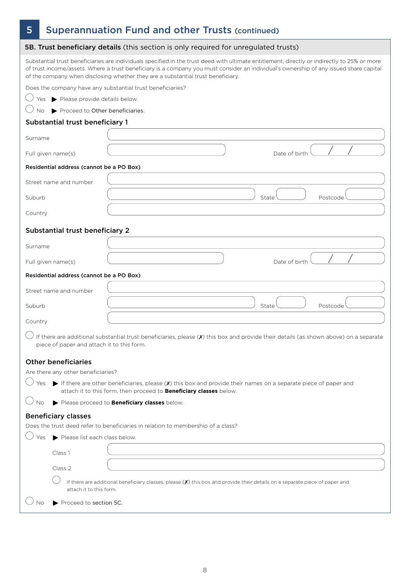# 5 Superannuation Fund and other Trusts (continued)

|                            |                                            | 5B. Trust beneficiary details (this section is only required for unregulated trusts)                                                                                                                                                                                                                                                                                       |
|----------------------------|--------------------------------------------|----------------------------------------------------------------------------------------------------------------------------------------------------------------------------------------------------------------------------------------------------------------------------------------------------------------------------------------------------------------------------|
|                            |                                            | Substantial trust beneficiaries are individuals specified in the trust deed with ultimate entitlement, directly or indirectly to 25% or more<br>of trust income/assets. Where a trust beneficiary is a company you must consider an individual's ownership of any issued share capital<br>of the company when disclosing whether they are a substantial trust beneficiary. |
|                            |                                            | Does the company have any substantial trust beneficiaries?                                                                                                                                                                                                                                                                                                                 |
|                            | Yes Please provide details below.          |                                                                                                                                                                                                                                                                                                                                                                            |
| No                         | Proceed to Other beneficiaries.            |                                                                                                                                                                                                                                                                                                                                                                            |
|                            | Substantial trust beneficiary 1            |                                                                                                                                                                                                                                                                                                                                                                            |
| Surname                    |                                            |                                                                                                                                                                                                                                                                                                                                                                            |
| Full given name(s)         |                                            | Date of birth                                                                                                                                                                                                                                                                                                                                                              |
|                            | Residential address (cannot be a PO Box)   |                                                                                                                                                                                                                                                                                                                                                                            |
| Street name and number     |                                            |                                                                                                                                                                                                                                                                                                                                                                            |
| Suburb                     |                                            | State<br>Postcode                                                                                                                                                                                                                                                                                                                                                          |
| Country                    |                                            |                                                                                                                                                                                                                                                                                                                                                                            |
|                            | <b>Substantial trust beneficiary 2</b>     |                                                                                                                                                                                                                                                                                                                                                                            |
| Surname                    |                                            |                                                                                                                                                                                                                                                                                                                                                                            |
| Full given name(s)         |                                            | Date of birth                                                                                                                                                                                                                                                                                                                                                              |
|                            | Residential address (cannot be a PO Box)   |                                                                                                                                                                                                                                                                                                                                                                            |
| Street name and number     |                                            |                                                                                                                                                                                                                                                                                                                                                                            |
| Suburb                     |                                            | State<br>Postcode                                                                                                                                                                                                                                                                                                                                                          |
| Country                    |                                            |                                                                                                                                                                                                                                                                                                                                                                            |
|                            | piece of paper and attach it to this form. | If there are additional substantial trust beneficiaries, please (X) this box and provide their details (as shown above) on a separate                                                                                                                                                                                                                                      |
| <b>Other beneficiaries</b> |                                            |                                                                                                                                                                                                                                                                                                                                                                            |
|                            | Are there any other beneficiaries?         |                                                                                                                                                                                                                                                                                                                                                                            |
| Yes                        |                                            | If there are other beneficiaries, please $(\chi)$ this box and provide their names on a separate piece of paper and<br>attach it to this form, then proceed to <b>Beneficiary classes</b> below.                                                                                                                                                                           |
|                            |                                            | Please proceed to Beneficiary classes below.                                                                                                                                                                                                                                                                                                                               |
| <b>Beneficiary classes</b> |                                            | Does the trust deed refer to beneficiaries in relation to membership of a class?                                                                                                                                                                                                                                                                                           |
| Yes                        | Please list each class below.              |                                                                                                                                                                                                                                                                                                                                                                            |
|                            |                                            |                                                                                                                                                                                                                                                                                                                                                                            |
|                            | Class 1                                    |                                                                                                                                                                                                                                                                                                                                                                            |
|                            | Class 2                                    | If there are additional beneficiary classes, please $(X)$ this box and provide their details on a separate piece of paper and                                                                                                                                                                                                                                              |
|                            | attach it to this form.                    |                                                                                                                                                                                                                                                                                                                                                                            |
|                            | Proceed to section 5C.                     |                                                                                                                                                                                                                                                                                                                                                                            |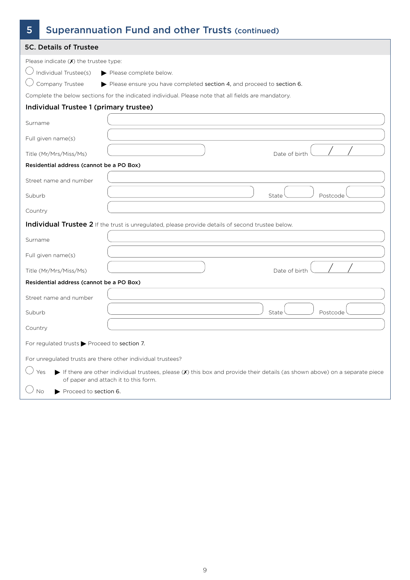| 5                                                           | <b>Superannuation Fund and other Trusts (continued)</b>                                                                      |
|-------------------------------------------------------------|------------------------------------------------------------------------------------------------------------------------------|
| <b>5C. Details of Trustee</b>                               |                                                                                                                              |
| Please indicate $(X)$ the trustee type:                     |                                                                                                                              |
| Individual Trustee(s)                                       | Please complete below.                                                                                                       |
| Company Trustee                                             | Please ensure you have completed section 4, and proceed to section 6.                                                        |
|                                                             | Complete the below sections for the indicated individual. Please note that all fields are mandatory.                         |
| Individual Trustee 1 (primary trustee)                      |                                                                                                                              |
| Surname                                                     |                                                                                                                              |
| Full given name(s)                                          |                                                                                                                              |
| Title (Mr/Mrs/Miss/Ms)                                      | Date of birth                                                                                                                |
| Residential address (cannot be a PO Box)                    |                                                                                                                              |
| Street name and number                                      |                                                                                                                              |
| Suburb                                                      | State<br>Postcode                                                                                                            |
| Country                                                     |                                                                                                                              |
|                                                             | Individual Trustee 2 If the trust is unregulated, please provide details of second trustee below.                            |
| Surname                                                     |                                                                                                                              |
| Full given name(s)                                          |                                                                                                                              |
| Title (Mr/Mrs/Miss/Ms)                                      | Date of birth                                                                                                                |
| Residential address (cannot be a PO Box)                    |                                                                                                                              |
| Street name and number                                      |                                                                                                                              |
| Suburb                                                      | Postcode<br>State                                                                                                            |
| Country                                                     |                                                                                                                              |
| For regulated trusts > Proceed to section 7.                |                                                                                                                              |
| For unregulated trusts are there other individual trustees? |                                                                                                                              |
| Yes                                                         | If there are other individual trustees, please $(X)$ this box and provide their details (as shown above) on a separate piece |
| Proceed to section 6.<br>No                                 | of paper and attach it to this form.                                                                                         |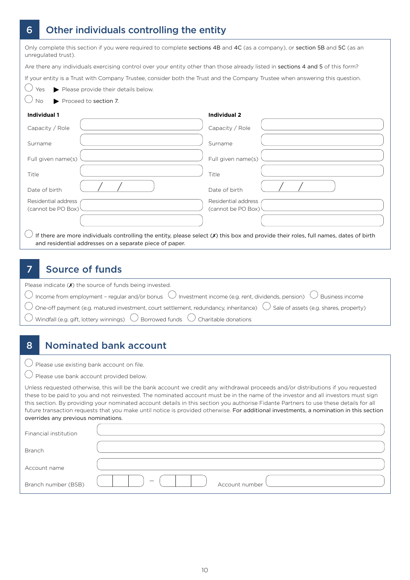### 6 Other individuals controlling the entity

| Only complete this section if you were required to complete sections 4B and 4C (as a company), or section 5B and 5C (as an |  |
|----------------------------------------------------------------------------------------------------------------------------|--|
| unregulated trust).                                                                                                        |  |

Are there any individuals exercising control over your entity other than those already listed in sections 4 and 5 of this form?

If your entity is a Trust with Company Trustee, consider both the Trust and the Company Trustee when answering this question.



 $\bigcirc$  Yes Please provide their details below.

 $\bigcirc$  No  $\bigcirc$  Proceed to section 7.

#### **Individual 1**

| Capacity / Role                           | Capacity / Role                                                                                                                      |
|-------------------------------------------|--------------------------------------------------------------------------------------------------------------------------------------|
| Surname                                   | Surname                                                                                                                              |
| Full given name(s)                        | Full given name(s)                                                                                                                   |
| Title                                     | Title                                                                                                                                |
| Date of birth                             | Date of birth                                                                                                                        |
| Residential address<br>(cannot be PO Box) | Residential address<br>(cannot be PO Box)                                                                                            |
|                                           |                                                                                                                                      |
|                                           | If there are more individuals controlling the entity, please select (X) this box and provide their roles, full names, dates of birth |

**Individual 2**

and residential addresses on a separate piece of paper.

### 7 Source of funds

| Please indicate $(X)$ the source of funds being invested.                                                                                         |
|---------------------------------------------------------------------------------------------------------------------------------------------------|
| $\bigcirc$ Income from employment - regular and/or bonus $\bigcirc$ Investment income (e.g. rent, dividends, pension) $\bigcirc$ Business income  |
| $\bigcirc$ One-off payment (e.g. matured investment, court settlement, redundancy, inheritance) $\bigcirc$ Sale of assets (e.g. shares, property) |
| $\overline{\bigcirc}$ Windfall (e.g. gift, lottery winnings) $\overline{\bigcirc}$ Borrowed funds $\overline{\bigcirc}$ Charitable donations      |

### 8 Nominated bank account

 $\bigcirc$  Please use existing bank account on file.

 $\bigcirc$  Please use bank account provided below.

Unless requested otherwise, this will be the bank account we credit any withdrawal proceeds and/or distributions if you requested these to be paid to you and not reinvested. The nominated account must be in the name of the investor and all investors must sign this section. By providing your nominated account details in this section you authorise Fidante Partners to use these details for all future transaction requests that you make until notice is provided otherwise. For additional investments, a nomination in this section overrides any previous nominations.

| Financial institution |                |
|-----------------------|----------------|
| Branch                |                |
| Account name          |                |
| Branch number (BSB)   | Account number |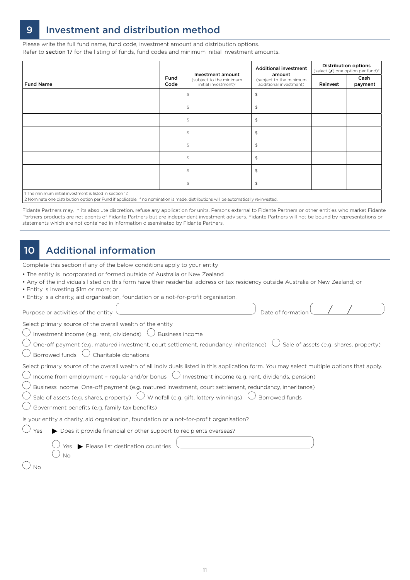### 9 Investment and distribution method

Please write the full fund name, fund code, investment amount and distribution options. Refer to section 17 for the listing of funds, fund codes and minimum initial investment amounts.

|                                                                                                                                                                                                    |  |                                                                                  | <b>Additional investment</b>                                | <b>Distribution options</b><br>(select $(X)$ one option per fund) <sup>2</sup> |                 |
|----------------------------------------------------------------------------------------------------------------------------------------------------------------------------------------------------|--|----------------------------------------------------------------------------------|-------------------------------------------------------------|--------------------------------------------------------------------------------|-----------------|
| Fund<br><b>Fund Name</b><br>Code                                                                                                                                                                   |  | Investment amount<br>(subject to the minimum<br>initial investment) <sup>1</sup> | amount<br>(subject to the minimum<br>additional investment) | Reinvest                                                                       | Cash<br>payment |
|                                                                                                                                                                                                    |  | \$                                                                               | $\mathfrak{P}$                                              |                                                                                |                 |
|                                                                                                                                                                                                    |  | $\mathfrak{P}$                                                                   | $\mathfrak{P}$                                              |                                                                                |                 |
|                                                                                                                                                                                                    |  | $\updownarrow$                                                                   | $\mathfrak{P}$                                              |                                                                                |                 |
|                                                                                                                                                                                                    |  | $\sqrt{2}$                                                                       | \$                                                          |                                                                                |                 |
|                                                                                                                                                                                                    |  | \$                                                                               | $$\mathbb{S}$$                                              |                                                                                |                 |
|                                                                                                                                                                                                    |  | $\mathfrak{P}$                                                                   | $\mathfrak{P}$                                              |                                                                                |                 |
|                                                                                                                                                                                                    |  | \$                                                                               | $$\mathbb{S}$$                                              |                                                                                |                 |
|                                                                                                                                                                                                    |  | $\updownarrow$                                                                   | $\mathfrak{P}$                                              |                                                                                |                 |
| 1 The minimum initial investment is listed in section 17.<br>2 Nominate one distribution option per Fund if applicable. If no nomination is made, distributions will be automatically re-invested. |  |                                                                                  |                                                             |                                                                                |                 |

Fidante Partners may, in its absolute discretion, refuse any application for units. Persons external to Fidante Partners or other entities who market Fidante Partners products are not agents of Fidante Partners but are independent investment advisers. Fidante Partners will not be bound by representations or statements which are not contained in information disseminated by Fidante Partners.

### 10 Additional information

Complete this section if any of the below conditions apply to your entity:

- The entity is incorporated or formed outside of Australia or New Zealand
- Any of the individuals listed on this form have their residential address or tax residency outside Australia or New Zealand; or
- Entity is investing \$1m or more; or

| • Entity is a charity, aid organisation, foundation or a not-for-profit organisaton.                                                                                                                                                                                                                                                                                                                                                                                                                                                                                                       |
|--------------------------------------------------------------------------------------------------------------------------------------------------------------------------------------------------------------------------------------------------------------------------------------------------------------------------------------------------------------------------------------------------------------------------------------------------------------------------------------------------------------------------------------------------------------------------------------------|
| Date of formation<br>Purpose or activities of the entity                                                                                                                                                                                                                                                                                                                                                                                                                                                                                                                                   |
| Select primary source of the overall wealth of the entity<br>$\bigcirc$ Investment income (e.g. rent, dividends) $\bigcirc$<br>Business income<br>One-off payment (e.g. matured investment, court settlement, redundancy, inheritance)<br>Sale of assets (e.g. shares, property)<br>Borrowed funds<br>Charitable donations                                                                                                                                                                                                                                                                 |
| Select primary source of the overall wealth of all individuals listed in this application form. You may select multiple options that apply.<br>$\bigcirc$ Income from employment - regular and/or bonus $\bigcirc$ Investment income (e.g. rent, dividends, pension)<br>$\bigcup$ Business income One-off payment (e.g. matured investment, court settlement, redundancy, inheritance)<br>$^0$ Sale of assets (e.g. shares, property) $\;\bigcup\;$ Windfall (e.g. gift, lottery winnings) $\;\bigcup\;$<br>$\frac{1}{2}$ Borrowed funds<br>Government benefits (e.g. family tax benefits) |
| Is your entity a charity, aid organisation, foundation or a not-for-profit organisation?<br>Does it provide financial or other support to recipients overseas?<br>Yes<br>Please list destination countries<br>Yes.                                                                                                                                                                                                                                                                                                                                                                         |
| No<br>Νo                                                                                                                                                                                                                                                                                                                                                                                                                                                                                                                                                                                   |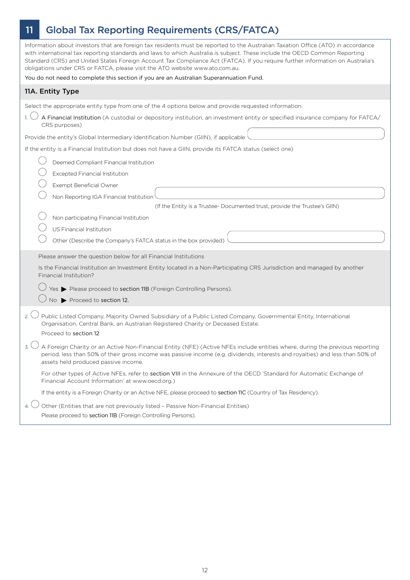# 11 Global Tax Reporting Requirements (CRS/FATCA)

| Information about investors that are foreign tax residents must be reported to the Australian Taxation Office (ATO) in accordance<br>with international tax reporting standards and laws to which Australia is subject. These include the OECD Common Reporting<br>Standard (CRS) and United States Foreign Account Tax Compliance Act (FATCA). If you require further information on Australia's<br>obligations under CRS or FATCA, please visit the ATO website www.ato.com.au.                                                                                                                                                                                                                                                                                                                                                             |
|-----------------------------------------------------------------------------------------------------------------------------------------------------------------------------------------------------------------------------------------------------------------------------------------------------------------------------------------------------------------------------------------------------------------------------------------------------------------------------------------------------------------------------------------------------------------------------------------------------------------------------------------------------------------------------------------------------------------------------------------------------------------------------------------------------------------------------------------------|
| You do not need to complete this section if you are an Australian Superannuation Fund.                                                                                                                                                                                                                                                                                                                                                                                                                                                                                                                                                                                                                                                                                                                                                        |
| 11A. Entity Type                                                                                                                                                                                                                                                                                                                                                                                                                                                                                                                                                                                                                                                                                                                                                                                                                              |
| Select the appropriate entity type from one of the 4 options below and provide requested information.<br>A Financial Institution (A custodial or depository institution, an investment entity or specified insurance company for FATCA/<br>CRS purposes)<br>Provide the entity's Global Intermediary Identification Number (GIIN), if applicable<br>If the entity is a Financial Institution but does not have a GIIN, provide its FATCA status (select one)<br>Deemed Compliant Financial Institution<br><b>Excepted Financial Institution</b><br>Exempt Beneficial Owner<br>Non Reporting IGA Financial Institution<br>(If the Entity is a Trustee- Documented trust, provide the Trustee's GIIN)<br>Non participating Financial Institution<br>US Financial Institution<br>Other (Describe the Company's FATCA status in the box provided) |
| Please answer the question below for all Financial Institutions<br>Is the Financial Institution an Investment Entity located in a Non-Participating CRS Jurisdiction and managed by another<br>Financial Institution?<br>Yes > Please proceed to section 11B (Foreign Controlling Persons).<br>No Proceed to section 12.                                                                                                                                                                                                                                                                                                                                                                                                                                                                                                                      |
| 2. $\sqrt{ }$<br>Public Listed Company, Majority Owned Subsidiary of a Public Listed Company, Governmental Entity, International<br>Organisation, Central Bank, an Australian Registered Charity or Deceased Estate.<br>Proceed to section 12<br>A Foreign Charity or an Active Non-Financial Entity (NFE) (Active NFEs include entities where, during the previous reporting<br>period, less than 50% of their gross income was passive income (e.g. dividends, interests and royalties) and less than 50% of<br>assets held produced passive income.<br>For other types of Active NFEs, refer to section VIII in the Annexure of the OECD 'Standard for Automatic Exchange of<br>Financial Account Information' at www.oecd.org.)                                                                                                           |
| If the entity is a Foreign Charity or an Active NFE, please proceed to section 11C (Country of Tax Residency).<br>Other (Entities that are not previously listed - Passive Non-Financial Entities)<br>Please proceed to section 11B (Foreign Controlling Persons).                                                                                                                                                                                                                                                                                                                                                                                                                                                                                                                                                                            |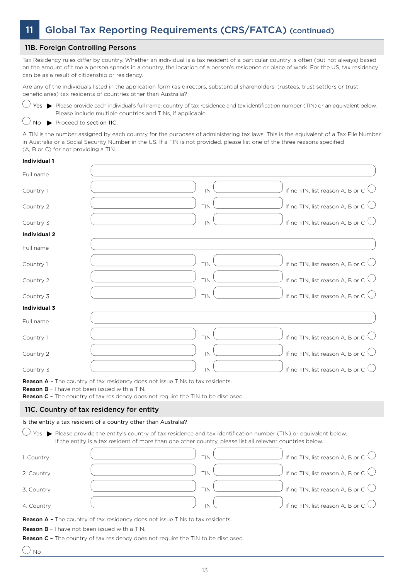## 11 Global Tax Reporting Requirements (CRS/FATCA) (continued)

#### 11B. Foreign Controlling Persons

Tax Residency rules differ by country. Whether an individual is a tax resident of a particular country is often (but not always) based on the amount of time a person spends in a country, the location of a person's residence or place of work. For the US, tax residency can be as a result of citizenship or residency.

Are any of the individuals listed in the application form (as directors, substantial shareholders, trustees, trust settlors or trust beneficiaries) tax residents of countries other than Australia?



 $\bigcirc$  Yes  $\blacktriangleright$  Please provide each individual's full name, country of tax residence and tax identification number (TIN) or an equivalent below. Please include multiple countries and TINs, if applicable.

#### $\bigcup$  No  $\blacktriangleright$  Proceed to section 11C.

A TIN is the number assigned by each country for the purposes of administering tax laws. This is the equivalent of a Tax File Number in Australia or a Social Security Number in the US. If a TIN is not provided, please list one of the three reasons specified (A, B or C) for not providing a TIN.

#### **Individual 1**

| Full name                                            |                                                                                                                                                                                                                                  |            |                                             |
|------------------------------------------------------|----------------------------------------------------------------------------------------------------------------------------------------------------------------------------------------------------------------------------------|------------|---------------------------------------------|
| Country 1                                            |                                                                                                                                                                                                                                  | TIN        | If no TIN, list reason A, B or C $\bigcirc$ |
| Country 2                                            |                                                                                                                                                                                                                                  | TIN        | If no TIN, list reason A, B or C $\bigcup$  |
| Country 3                                            |                                                                                                                                                                                                                                  | TIN        | If no TIN, list reason A, B or C $\bigcirc$ |
| <b>Individual 2</b>                                  |                                                                                                                                                                                                                                  |            |                                             |
| Full name                                            |                                                                                                                                                                                                                                  |            |                                             |
| Country 1                                            |                                                                                                                                                                                                                                  | TIN        | If no TIN, list reason A, B or C $\bigcup$  |
| Country 2                                            |                                                                                                                                                                                                                                  | TIN        | If no TIN, list reason A, B or C $\bigcup$  |
| Country 3                                            |                                                                                                                                                                                                                                  | TIN        | If no TIN, list reason A, B or C $\bigcup$  |
| <b>Individual 3</b>                                  |                                                                                                                                                                                                                                  |            |                                             |
| Full name                                            |                                                                                                                                                                                                                                  |            |                                             |
| Country 1                                            |                                                                                                                                                                                                                                  | TIN        | If no TIN, list reason A, B or C $\bigcirc$ |
| Country 2                                            |                                                                                                                                                                                                                                  | TIN        | If no TIN, list reason A, B or C $\bigcup$  |
| Country 3                                            |                                                                                                                                                                                                                                  | TIN        | If no TIN, list reason A, B or C $\bigcirc$ |
| <b>Reason B</b> - I have not been issued with a TIN. | <b>Reason A</b> - The country of tax residency does not issue TINs to tax residents.<br><b>Reason C</b> - The country of tax residency does not require the TIN to be disclosed.                                                 |            |                                             |
|                                                      | 11C. Country of tax residency for entity                                                                                                                                                                                         |            |                                             |
|                                                      | Is the entity a tax resident of a country other than Australia?                                                                                                                                                                  |            |                                             |
|                                                      | Yes > Please provide the entity's country of tax residence and tax identification number (TIN) or equivalent below.<br>If the entity is a tax resident of more than one other country, please list all relevant countries below. |            |                                             |
| 1. Country                                           |                                                                                                                                                                                                                                  | TIN        | If no TIN, list reason A, B or C $\bigcirc$ |
| 2. Country                                           |                                                                                                                                                                                                                                  | <b>TIN</b> | If no TIN, list reason A, B or C $\bigcup$  |
| 3. Country                                           |                                                                                                                                                                                                                                  | TIN        | If no TIN, list reason A, B or C            |
| 4. Country                                           |                                                                                                                                                                                                                                  | TIN        | If no TIN, list reason A, B or C            |
|                                                      | <b>Reason A -</b> The country of tax residency does not issue TINs to tax residents.                                                                                                                                             |            |                                             |
| <b>Reason B - I have not been issued with a TIN.</b> |                                                                                                                                                                                                                                  |            |                                             |
|                                                      | <b>Reason C</b> - The country of tax residency does not require the TIN to be disclosed.                                                                                                                                         |            |                                             |
| No                                                   |                                                                                                                                                                                                                                  |            |                                             |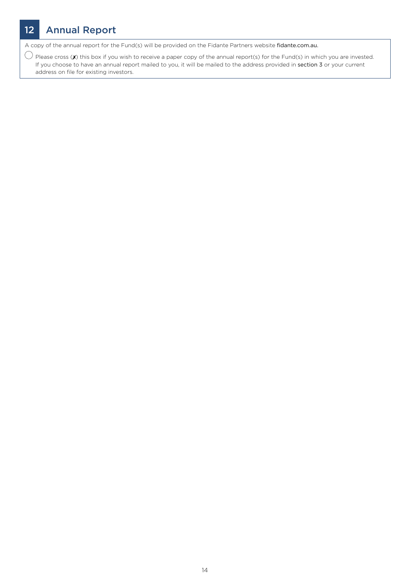# 12 Annual Report

A copy of the annual report for the Fund(s) will be provided on the Fidante Partners website fidante.com.au.

 $\bigcirc$  Please cross (X) this box if you wish to receive a paper copy of the annual report(s) for the Fund(s) in which you are invested. If you choose to have an annual report mailed to you, it will be mailed to the address provided in section 3 or your current address on file for existing investors.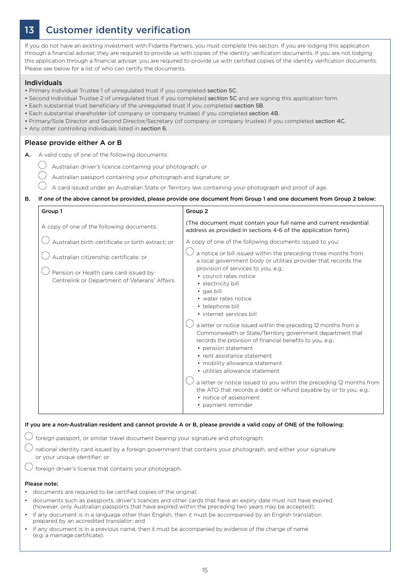### 13 Customer identity verification

If you do not have an existing investment with Fidante Partners, you must complete this section. If you are lodging this application through a financial adviser, they are required to provide us with copies of the identity verification documents. If you are not lodging this application through a financial adviser, you are required to provide us with certified copies of the identity verification documents. Please see below for a list of who can certify the documents.

#### Individuals

• Primary Individual Trustee 1 of unregulated trust if you completed section 5C.

- Second Individual Trustee 2 of unregulated trust if you completed section 5C and are signing this application form.
- Each substantial trust beneficiary of the unregulated trust if you completed section 5B.
- Each substantial shareholder (of company or company trustee) if you completed section 4B.
- Primary/Sole Director and Second Director/Secretary (of company or company trustee) if you completed section 4C.
- Any other controlling individuals listed in section 6.

#### Please provide either A or B

- A. A valid copy of one of the following documents:
	- $\bigcirc$  Australian driver's licence containing your photograph; or
		- Australian passport containing your photograph and signature; or
		- A card issued under an Australian State or Territory law containing your photograph and proof of age.

#### B. If one of the above cannot be provided, please provide one document from Group 1 and one document from Group 2 below:

| Group 1                                                                                                                                                                                | Group 2                                                                                                                                                                                                                                                                                                                                                                                                                                                                                                                                                                                                                                                                                           |
|----------------------------------------------------------------------------------------------------------------------------------------------------------------------------------------|---------------------------------------------------------------------------------------------------------------------------------------------------------------------------------------------------------------------------------------------------------------------------------------------------------------------------------------------------------------------------------------------------------------------------------------------------------------------------------------------------------------------------------------------------------------------------------------------------------------------------------------------------------------------------------------------------|
| A copy of one of the following documents:                                                                                                                                              | (The document must contain your full name and current residential<br>address as provided in sections 4-6 of the application form)                                                                                                                                                                                                                                                                                                                                                                                                                                                                                                                                                                 |
| Australian birth certificate or birth extract; or<br>Australian citizenship certificate; or<br>Pension or Health care card issued by<br>Centrelink or Department of Veterans' Affairs. | A copy of one of the following documents issued to you:<br>a notice or bill issued within the preceding three months from<br>a local government body or utilities provider that records the<br>provision of services to you, e.g.:<br>• council rates notice<br>• electricity bill<br>• gas bill<br>• water rates notice<br>• telephone bill<br>• internet services bill<br>a letter or notice issued within the preceding 12 months from a<br>Commonwealth or State/Territory government department that<br>records the provision of financial benefits to you, e.g.:<br>• pension statement<br>• rent assistance statement<br>• mobility allowance statement<br>• utilities allowance statement |
|                                                                                                                                                                                        | a letter or notice issued to you within the preceding 12 months from<br>the ATO that records a debt or refund payable by or to you, e.g.:<br>• notice of assessment<br>• payment reminder                                                                                                                                                                                                                                                                                                                                                                                                                                                                                                         |

#### If you are a non-Australian resident and cannot provide A or B, please provide a valid copy of ONE of the following:

 $\bigcirc$  foreign passport, or similar travel document bearing your signature and photograph;

 $\bigcirc$  national identity card issued by a foreign government that contains your photograph, and either your signature or your unique identifier; or

foreign driver's license that contains your photograph.

#### Please note:

- documents are required to be certified copies of the original;
- documents such as passports, driver's licences and other cards that have an expiry date must not have expired (however, only Australian passports that have expired within the preceding two years may be accepted);
- if any document is in a language other than English, then it must be accompanied by an English translation prepared by an accredited translator; and
- if any document is in a previous name, then it must be accompanied by evidence of the change of name (e.g. a marriage certificate).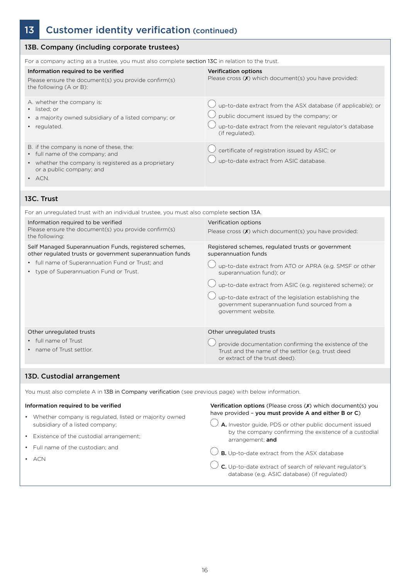# 13 Customer identity verification (continued)

| 13B. Company (including corporate trustees)                                                                                                                                                                        |                                                                                                                                                                                                                                                                                                                                                                  |  |  |  |
|--------------------------------------------------------------------------------------------------------------------------------------------------------------------------------------------------------------------|------------------------------------------------------------------------------------------------------------------------------------------------------------------------------------------------------------------------------------------------------------------------------------------------------------------------------------------------------------------|--|--|--|
| For a company acting as a trustee, you must also complete section 13C in relation to the trust.                                                                                                                    |                                                                                                                                                                                                                                                                                                                                                                  |  |  |  |
| Information required to be verified<br>Please ensure the document(s) you provide confirm(s)<br>the following (A or B):                                                                                             | <b>Verification options</b><br>Please cross (X) which document(s) you have provided:                                                                                                                                                                                                                                                                             |  |  |  |
| A. whether the company is:<br>• listed; or<br>• a majority owned subsidiary of a listed company; or<br>• regulated.                                                                                                | up-to-date extract from the ASX database (if applicable); or<br>public document issued by the company; or<br>up-to-date extract from the relevant regulator's database<br>(if regulated).                                                                                                                                                                        |  |  |  |
| B. if the company is none of these, the:<br>• full name of the company; and<br>• whether the company is registered as a proprietary<br>or a public company; and<br>$\bullet$ ACN.                                  | certificate of registration issued by ASIC; or<br>up-to-date extract from ASIC database.                                                                                                                                                                                                                                                                         |  |  |  |
| 13C. Trust                                                                                                                                                                                                         |                                                                                                                                                                                                                                                                                                                                                                  |  |  |  |
| For an unregulated trust with an individual trustee, you must also complete section 13A.                                                                                                                           |                                                                                                                                                                                                                                                                                                                                                                  |  |  |  |
| Information required to be verified<br>Please ensure the document(s) you provide confirm(s)<br>the following:                                                                                                      | Verification options<br>Please cross (X) which document(s) you have provided:                                                                                                                                                                                                                                                                                    |  |  |  |
| Self Managed Superannuation Funds, registered schemes,<br>other regulated trusts or government superannuation funds<br>• full name of Superannuation Fund or Trust; and<br>• type of Superannuation Fund or Trust. | Registered schemes, regulated trusts or government<br>superannuation funds<br>up-to-date extract from ATO or APRA (e.g. SMSF or other<br>superannuation fund); or<br>up-to-date extract from ASIC (e.g. registered scheme); or<br>up-to-date extract of the legislation establishing the<br>government superannuation fund sourced from a<br>government website. |  |  |  |
| Other unregulated trusts<br>• full name of Trust<br>name of Trust settlor.                                                                                                                                         | Other unregulated trusts<br>provide documentation confirming the existence of the<br>Trust and the name of the settlor (e.g. trust deed<br>or extract of the trust deed).                                                                                                                                                                                        |  |  |  |
| 13D. Custodial arrangement                                                                                                                                                                                         |                                                                                                                                                                                                                                                                                                                                                                  |  |  |  |
| You must also complete A in 13B in Company verification (see previous page) with below information.                                                                                                                |                                                                                                                                                                                                                                                                                                                                                                  |  |  |  |
| Information required to be verified                                                                                                                                                                                | Verification options (Please cross (X) which document(s) you                                                                                                                                                                                                                                                                                                     |  |  |  |
| • Whether company is regulated, listed or majority owned<br>subsidiary of a listed company;<br>Existence of the custodial arrangement;                                                                             | have provided - you must provide A and either B or C)<br>A. Investor guide, PDS or other public document issued<br>by the company confirming the existence of a custodial                                                                                                                                                                                        |  |  |  |
| Full name of the custodian; and                                                                                                                                                                                    | arrangement; and                                                                                                                                                                                                                                                                                                                                                 |  |  |  |
| ACN                                                                                                                                                                                                                | B. Up-to-date extract from the ASX database                                                                                                                                                                                                                                                                                                                      |  |  |  |
|                                                                                                                                                                                                                    | C. Up-to-date extract of search of relevant regulator's<br>database (e.g. ASIC database) (if regulated)                                                                                                                                                                                                                                                          |  |  |  |
|                                                                                                                                                                                                                    |                                                                                                                                                                                                                                                                                                                                                                  |  |  |  |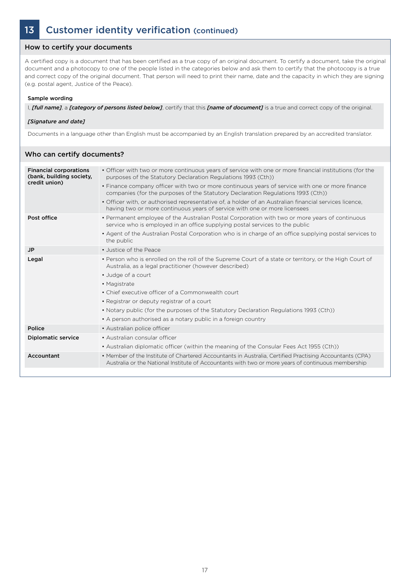### 13 Customer identity verification (continued)

#### How to certify your documents

A certified copy is a document that has been certified as a true copy of an original document. To certify a document, take the original document and a photocopy to one of the people listed in the categories below and ask them to certify that the photocopy is a true and correct copy of the original document. That person will need to print their name, date and the capacity in which they are signing (e.g. postal agent, Justice of the Peace).

#### Sample wording

I, *[full name]*, a *[category of persons listed below]*, certify that this *[name of document]* is a true and correct copy of the original.

#### *[Signature and date]*

Documents in a language other than English must be accompanied by an English translation prepared by an accredited translator.

| • Officer with two or more continuous years of service with one or more financial institutions (for the<br><b>Financial corporations</b><br>(bank, building society,<br>purposes of the Statutory Declaration Regulations 1993 (Cth))<br>credit union)<br>• Finance company officer with two or more continuous years of service with one or more finance<br>companies (for the purposes of the Statutory Declaration Regulations 1993 (Cth))<br>. Officer with, or authorised representative of, a holder of an Australian financial services licence,<br>having two or more continuous years of service with one or more licensees<br>Post office<br>• Permanent employee of the Australian Postal Corporation with two or more years of continuous<br>service who is employed in an office supplying postal services to the public<br>• Agent of the Australian Postal Corporation who is in charge of an office supplying postal services to<br>the public<br>• Justice of the Peace<br><b>JP</b><br>• Person who is enrolled on the roll of the Supreme Court of a state or territory, or the High Court of<br>Legal<br>Australia, as a legal practitioner (however described)<br>• Judge of a court<br>• Magistrate<br>• Chief executive officer of a Commonwealth court<br>• Registrar or deputy registrar of a court<br>• Notary public (for the purposes of the Statutory Declaration Regulations 1993 (Cth))<br>• A person authorised as a notary public in a foreign country<br>Police<br>• Australian police officer<br><b>Diplomatic service</b><br>• Australian consular officer<br>• Australian diplomatic officer (within the meaning of the Consular Fees Act 1955 (Cth))<br>Accountant<br>• Member of the Institute of Chartered Accountants in Australia, Certified Practising Accountants (CPA) | Who can certify documents? |                                                                                                    |
|---------------------------------------------------------------------------------------------------------------------------------------------------------------------------------------------------------------------------------------------------------------------------------------------------------------------------------------------------------------------------------------------------------------------------------------------------------------------------------------------------------------------------------------------------------------------------------------------------------------------------------------------------------------------------------------------------------------------------------------------------------------------------------------------------------------------------------------------------------------------------------------------------------------------------------------------------------------------------------------------------------------------------------------------------------------------------------------------------------------------------------------------------------------------------------------------------------------------------------------------------------------------------------------------------------------------------------------------------------------------------------------------------------------------------------------------------------------------------------------------------------------------------------------------------------------------------------------------------------------------------------------------------------------------------------------------------------------------------------------------------------------------------------------------------------------------|----------------------------|----------------------------------------------------------------------------------------------------|
|                                                                                                                                                                                                                                                                                                                                                                                                                                                                                                                                                                                                                                                                                                                                                                                                                                                                                                                                                                                                                                                                                                                                                                                                                                                                                                                                                                                                                                                                                                                                                                                                                                                                                                                                                                                                                     |                            |                                                                                                    |
|                                                                                                                                                                                                                                                                                                                                                                                                                                                                                                                                                                                                                                                                                                                                                                                                                                                                                                                                                                                                                                                                                                                                                                                                                                                                                                                                                                                                                                                                                                                                                                                                                                                                                                                                                                                                                     |                            |                                                                                                    |
|                                                                                                                                                                                                                                                                                                                                                                                                                                                                                                                                                                                                                                                                                                                                                                                                                                                                                                                                                                                                                                                                                                                                                                                                                                                                                                                                                                                                                                                                                                                                                                                                                                                                                                                                                                                                                     |                            |                                                                                                    |
|                                                                                                                                                                                                                                                                                                                                                                                                                                                                                                                                                                                                                                                                                                                                                                                                                                                                                                                                                                                                                                                                                                                                                                                                                                                                                                                                                                                                                                                                                                                                                                                                                                                                                                                                                                                                                     |                            |                                                                                                    |
|                                                                                                                                                                                                                                                                                                                                                                                                                                                                                                                                                                                                                                                                                                                                                                                                                                                                                                                                                                                                                                                                                                                                                                                                                                                                                                                                                                                                                                                                                                                                                                                                                                                                                                                                                                                                                     |                            |                                                                                                    |
|                                                                                                                                                                                                                                                                                                                                                                                                                                                                                                                                                                                                                                                                                                                                                                                                                                                                                                                                                                                                                                                                                                                                                                                                                                                                                                                                                                                                                                                                                                                                                                                                                                                                                                                                                                                                                     |                            |                                                                                                    |
|                                                                                                                                                                                                                                                                                                                                                                                                                                                                                                                                                                                                                                                                                                                                                                                                                                                                                                                                                                                                                                                                                                                                                                                                                                                                                                                                                                                                                                                                                                                                                                                                                                                                                                                                                                                                                     |                            | Australia or the National Institute of Accountants with two or more years of continuous membership |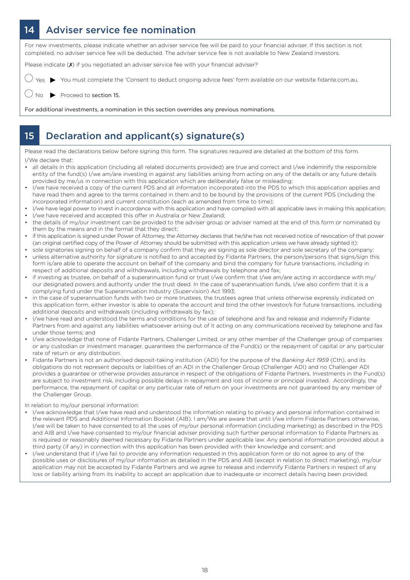### 14 Adviser service fee nomination

For new investments, please indicate whether an adviser service fee will be paid to your financial adviser. If this section is not completed, no adviser service fee will be deducted. The adviser service fee is not available to New Zealand investors.

Please indicate (X) if you negotiated an adviser service fee with your financial adviser?

You must complete the 'Consent to deduct ongoing advice fees' form available on our website fidante.com.au.

Proceed to section 15.

For additional investments, a nomination in this section overrides any previous nominations.

### 15 Declaration and applicant(s) signature(s)

Please read the declarations below before signing this form. The signatures required are detailed at the bottom of this form. I/We declare that:

- all details in this application (including all related documents provided) are true and correct and I/we indemnify the responsible entity of the fund(s) I/we am/are investing in against any liabilities arising from acting on any of the details or any future details provided by me/us in connection with this application which are deliberately false or misleading;
- I/we have received a copy of the current PDS and all information incorporated into the PDS to which this application applies and have read them and agree to the terms contained in them and to be bound by the provisions of the current PDS (including the incorporated information) and current constitution (each as amended from time to time);
- I/we have legal power to invest in accordance with this application and have complied with all applicable laws in making this application;
- I/we have received and accepted this offer in Australia or New Zealand;
- the details of my/our investment can be provided to the adviser group or adviser named at the end of this form or nominated by them by the means and in the format that they direct;
- if this application is signed under Power of Attorney, the Attorney declares that he/she has not received notice of revocation of that power (an original certified copy of the Power of Attorney should be submitted with this application unless we have already sighted it);
- sole signatories signing on behalf of a company confirm that they are signing as sole director and sole secretary of the company; • unless alternative authority for signature is notified to and accepted by Fidante Partners, the person/persons that signs/sign this form is/are able to operate the account on behalf of the company and bind the company for future transactions, including in respect of additional deposits and withdrawals, including withdrawals by telephone and fax;
- if investing as trustee, on behalf of a superannuation fund or trust I/we confirm that I/we am/are acting in accordance with my/ our designated powers and authority under the trust deed. In the case of superannuation funds, I/we also confirm that it is a complying fund under the Superannuation Industry (Supervision) Act 1993;
- in the case of superannuation funds with two or more trustees, the trustees agree that unless otherwise expressly indicated on this application form, either investor is able to operate the account and bind the other investor/s for future transactions, including additional deposits and withdrawals (including withdrawals by fax);
- I/we have read and understood the terms and conditions for the use of telephone and fax and release and indemnify Fidante Partners from and against any liabilities whatsoever arising out of it acting on any communications received by telephone and fax under those terms; and
- I/we acknowledge that none of Fidante Partners, Challenger Limited, or any other member of the Challenger group of companies or any custodian or investment manager, guarantees the performance of the Fund(s) or the repayment of capital or any particular rate of return or any distribution.
- Fidante Partners is not an authorised deposit-taking institution (ADI) for the purpose of the *Banking Act 1959* (Cth), and its obligations do not represent deposits or liabilities of an ADI in the Challenger Group (Challenger ADI) and no Challenger ADI provides a guarantee or otherwise provides assurance in respect of the obligations of Fidante Partners. Investments in the Fund(s) are subject to investment risk, including possible delays in repayment and loss of income or principal invested. Accordingly, the performance, the repayment of capital or any particular rate of return on your investments are not guaranteed by any member of the Challenger Group.

In relation to my/our personal information:

- I/we acknowledge that I/we have read and understood the information relating to privacy and personal information contained in the relevant PDS and Additional Information Booklet (AIB). I am/We are aware that until I/we inform Fidante Partners otherwise, I/we will be taken to have consented to all the uses of my/our personal information (including marketing) as described in the PDS and AIB and I/we have consented to my/our financial adviser providing such further personal information to Fidante Partners as is required or reasonably deemed necessary by Fidante Partners under applicable law. Any personal information provided about a third party (if any) in connection with this application has been provided with their knowledge and consent; and
- I/we understand that if I/we fail to provide any information requested in this application form or do not agree to any of the possible uses or disclosures of my/our information as detailed in the PDS and AIB (except in relation to direct marketing), my/our application may not be accepted by Fidante Partners and we agree to release and indemnify Fidante Partners in respect of any loss or liability arising from its inability to accept an application due to inadequate or incorrect details having been provided.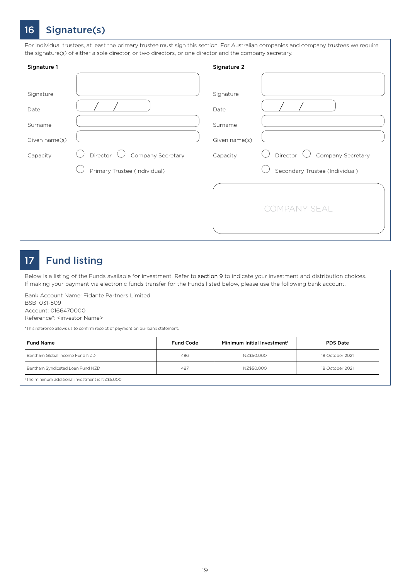### 16 Signature(s)

For individual trustees, at least the primary trustee must sign this section. For Australian companies and company trustees we require the signature(s) of either a sole director, or two directors, or one director and the company secretary.

| Signature 1                                               |                                                               | Signature 2                                               |                                                                 |
|-----------------------------------------------------------|---------------------------------------------------------------|-----------------------------------------------------------|-----------------------------------------------------------------|
| Signature<br>Date<br>Surname<br>Given name(s)<br>Capacity | Director<br>Company Secretary<br>Primary Trustee (Individual) | Signature<br>Date<br>Surname<br>Given name(s)<br>Capacity | Director<br>Company Secretary<br>Secondary Trustee (Individual) |
|                                                           |                                                               |                                                           | COMPANY SEAL                                                    |

### 17 Fund listing

Below is a listing of the Funds available for investment. Refer to section 9 to indicate your investment and distribution choices. If making your payment via electronic funds transfer for the Funds listed below, please use the following bank account.

Bank Account Name: Fidante Partners Limited BSB: 031-509

Account: 0166470000

Reference\*: <investor Name>

\*This reference allows us to confirm receipt of payment on our bank statement.

| <b>Fund Name</b>                 | <b>Fund Code</b> | Minimum Initial Investment <sup>1</sup> | <b>PDS Date</b> |
|----------------------------------|------------------|-----------------------------------------|-----------------|
| Bentham Global Income Fund NZD   | 486              | NZ\$50.000                              | 18 October 2021 |
| Bentham Syndicated Loan Fund NZD | 487              | NZ\$50.000                              | 18 October 2021 |

1 The minimum additional investment is NZ\$5,000.